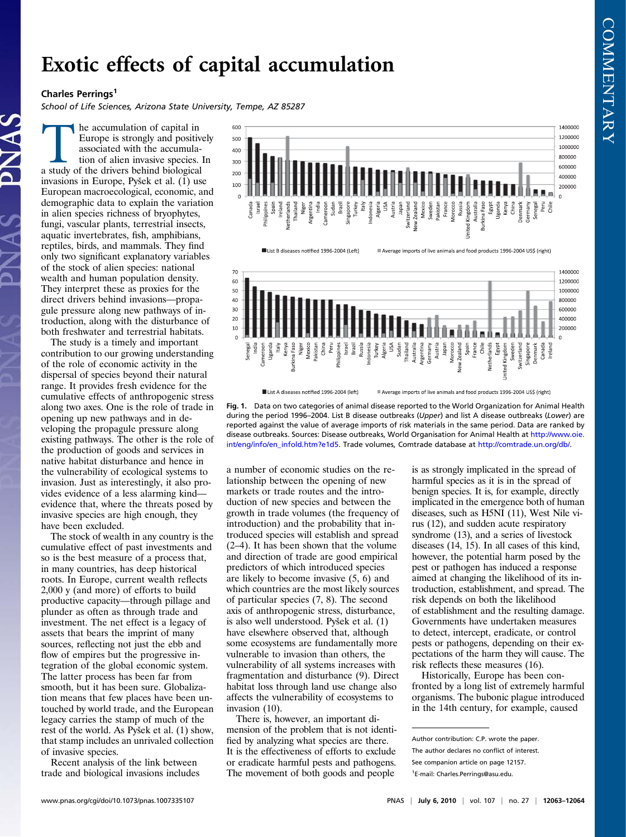## Exotic effects of capital accumulation

## Charles Perrings<sup>1</sup>

School of Life Sciences, Arizona State University, Tempe, AZ 85287

**EU SERVICE SERVICE SERVICE SERVICE SERVICE SERVICE SERVICE SERVICE SERVICE SERVICE SERVICE SERVICE SERVICE SERVICE SERVICE SERVICE SERVICE SERVICE SERVICE SERVICE SERVICE SERVICE SERVICE SERVICE SERVICE SERVICE SERVICE SE** Europe is strongly and positively associated with the accumulation of alien invasive species. In invasions in Europe, Pyšek et al.  $(1)$  use European macroecological, economic, and demographic data to explain the variation in alien species richness of bryophytes, fungi, vascular plants, terrestrial insects, aquatic invertebrates, fish, amphibians, reptiles, birds, and mammals. They find only two significant explanatory variables of the stock of alien species: national wealth and human population density. They interpret these as proxies for the direct drivers behind invasions—propagule pressure along new pathways of introduction, along with the disturbance of both freshwater and terrestrial habitats.

The study is a timely and important contribution to our growing understanding of the role of economic activity in the dispersal of species beyond their natural range. It provides fresh evidence for the cumulative effects of anthropogenic stress along two axes. One is the role of trade in opening up new pathways and in developing the propagule pressure along existing pathways. The other is the role of the production of goods and services in native habitat disturbance and hence in the vulnerability of ecological systems to invasion. Just as interestingly, it also provides evidence of a less alarming kind evidence that, where the threats posed by invasive species are high enough, they have been excluded.

The stock of wealth in any country is the cumulative effect of past investments and so is the best measure of a process that, in many countries, has deep historical roots. In Europe, current wealth reflects 2,000 y (and more) of efforts to build productive capacity—through pillage and plunder as often as through trade and investment. The net effect is a legacy of assets that bears the imprint of many sources, reflecting not just the ebb and flow of empires but the progressive integration of the global economic system. The latter process has been far from smooth, but it has been sure. Globalization means that few places have been untouched by world trade, and the European legacy carries the stamp of much of the rest of the world. As Pyšek et al. (1) show, that stamp includes an unrivaled collection of invasive species.

Recent analysis of the link between trade and biological invasions includes



List A diseases notified 1996-2004 (left) Average imports of live animals and food products 1996-2004 US\$ (right)

Fig. 1. Data on two categories of animal disease reported to the World Organization for Animal Health during the period 1996–2004. List B disease outbreaks (Upper) and list A disease outbreaks (Lower) are reported against the value of average imports of risk materials in the same period. Data are ranked by disease outbreaks. Sources: Disease outbreaks, World Organisation for Animal Health at [http://www.oie.](http://www.oie.int/eng/info/en_infold.htm?e1d5) [int/eng/info/en\\_infold.htm?e1d5](http://www.oie.int/eng/info/en_infold.htm?e1d5). Trade volumes, Comtrade database at [http://comtrade.un.org/db/.](http://comtrade.un.org/db/)

a number of economic studies on the relationship between the opening of new markets or trade routes and the introduction of new species and between the growth in trade volumes (the frequency of introduction) and the probability that introduced species will establish and spread (2–4). It has been shown that the volume and direction of trade are good empirical predictors of which introduced species are likely to become invasive (5, 6) and which countries are the most likely sources of particular species (7, 8). The second axis of anthropogenic stress, disturbance, is also well understood. Pyšek et al. (1) have elsewhere observed that, although some ecosystems are fundamentally more vulnerable to invasion than others, the vulnerability of all systems increases with fragmentation and disturbance (9). Direct habitat loss through land use change also affects the vulnerability of ecosystems to invasion (10).

There is, however, an important dimension of the problem that is not identified by analyzing what species are there. It is the effectiveness of efforts to exclude or eradicate harmful pests and pathogens. The movement of both goods and people

is as strongly implicated in the spread of harmful species as it is in the spread of benign species. It is, for example, directly implicated in the emergence both of human diseases, such as H5NI (11), West Nile virus (12), and sudden acute respiratory syndrome (13), and a series of livestock diseases (14, 15). In all cases of this kind, however, the potential harm posed by the pest or pathogen has induced a response aimed at changing the likelihood of its introduction, establishment, and spread. The risk depends on both the likelihood of establishment and the resulting damage. Governments have undertaken measures to detect, intercept, eradicate, or control pests or pathogens, depending on their expectations of the harm they will cause. The risk reflects these measures (16).

Historically, Europe has been confronted by a long list of extremely harmful organisms. The bubonic plague introduced in the 14th century, for example, caused

Author contribution: C.P. wrote the paper. The author declares no conflict of interest.

See companion article on page 12157.

<sup>1</sup> E-mail: [Charles.Perrings@asu.edu](mailto:Charles.Perrings@asu.edu).